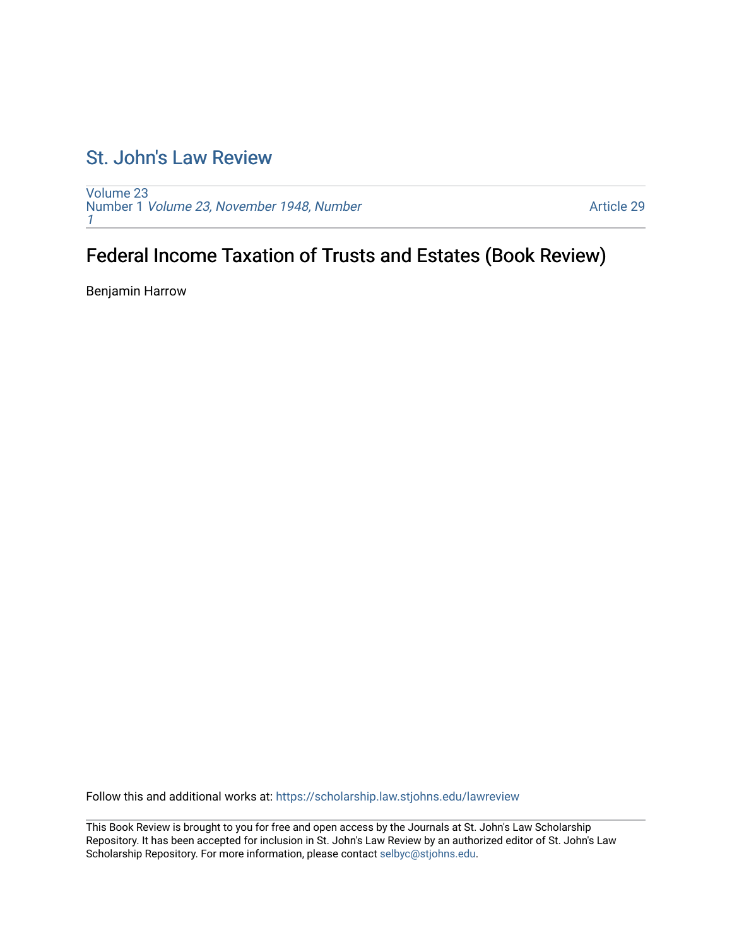## [St. John's Law Review](https://scholarship.law.stjohns.edu/lawreview)

[Volume 23](https://scholarship.law.stjohns.edu/lawreview/vol23) Number 1 [Volume 23, November 1948, Number](https://scholarship.law.stjohns.edu/lawreview/vol23/iss1) [1](https://scholarship.law.stjohns.edu/lawreview/vol23/iss1)

[Article 29](https://scholarship.law.stjohns.edu/lawreview/vol23/iss1/29) 

## Federal Income Taxation of Trusts and Estates (Book Review)

Benjamin Harrow

Follow this and additional works at: [https://scholarship.law.stjohns.edu/lawreview](https://scholarship.law.stjohns.edu/lawreview?utm_source=scholarship.law.stjohns.edu%2Flawreview%2Fvol23%2Fiss1%2F29&utm_medium=PDF&utm_campaign=PDFCoverPages) 

This Book Review is brought to you for free and open access by the Journals at St. John's Law Scholarship Repository. It has been accepted for inclusion in St. John's Law Review by an authorized editor of St. John's Law Scholarship Repository. For more information, please contact [selbyc@stjohns.edu](mailto:selbyc@stjohns.edu).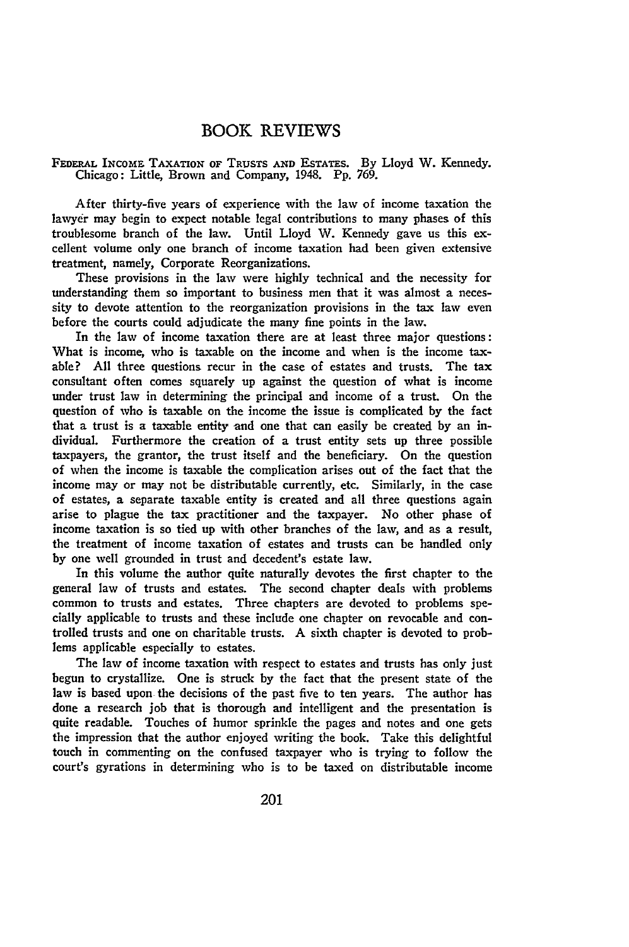## BOOK REVIEWS

## FEDERAL INCOME **TAXATION** OF **TRUSTS AND** ESTATES. By Lloyd W. Kennedy. Chicago: Little, Brown and Company, 1948. Pp. 769.

After thirty-five years of experience with the law of income taxation the lawyer may begin to expect notable legal contributions to many phases of this troublesome branch of the law. Until Lloyd W. Kennedy gave us this excellent volume only one branch of income taxation had been given extensive treatment, namely, Corporate Reorganizations.

These provisions in the law were **highly** technical and the necessity for understanding them so important to business men that it was almost a necessity to devote attention to the reorganization provisions in the tax **law** even before the courts could adjudicate the many fine points in the law.

In the law of income taxation there are at least three major questions: What is income, who is taxable on the income and when is the income taxable? **All** three questions recur in the case of estates and trusts. The tax consultant often comes squarely up against the question of what is income under trust law in determining the principal and income of a trust. On the question of who is taxable on the income the issue is complicated **by** the fact that a trust is a taxable entity and one that can easily be created **by** an individual. Furthermore the creation of a trust entity sets up three possible taxpayers, the grantor, the trust itself and the beneficiary. On the question of when the income is taxable the complication arises out of the fact that the income may or may not be distributable currently, etc. Similarly, in the case **of** estates, a separate taxable entity is created and all three questions again arise to plague the tax practitioner and the taxpayer. No other phase of income taxation is so tied up with other branches of the law, and as a result, the treatment of income taxation of estates and trusts can be handled only by one well grounded in trust and decedent's estate law.

In this volume the author quite naturally devotes the first chapter to the general law of trusts and estates. The second chapter deals with problems common to trusts and estates. Three chapters are devoted to problems specially applicable to trusts and these include one chapter on revocable and controlled trusts and one on charitable trusts. A sixth chapter is devoted to problems applicable especially to estates.

The law of income taxation with respect to estates and trusts has only just begun to crystallize. One is struck by the fact that the present state of the law is based upon the decisions of the past five to ten years. The author has done a research **job** that is thorough and intelligent and the presentation is quite readable. Touches of humor sprinkle the pages and notes and one gets the impression that the author enjoyed writing the book. Take this delightful touch in commenting on the confused taxpayer who is trying to follow the court's gyrations in determining who is to be taxed on distributable income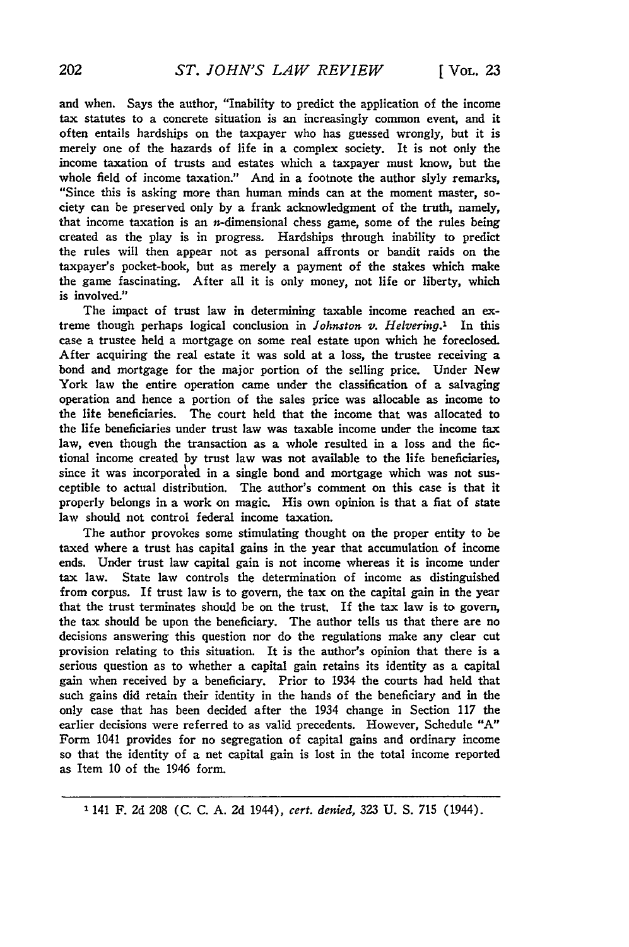and when. Says the author, "Inability to predict the application of the income tax statutes to a concrete situation is an increasingly common event, and it often entails hardships on the taxpayer who has guessed wrongly, but it is merely one of the hazards of life in a complex society. It is not only the income taxation of trusts and estates which a taxpayer must know, but the whole field of income taxation." And in a footnote the author slyly remarks, "Since this is asking more than human minds can at the moment master, society can be preserved only **by** a frank acknowledgment of the truth, namely, that income taxation is an  $n$ -dimensional chess game, some of the rules being created as the play is in progress. Hardships through inability to predict the rules will then appear not as personal affronts or bandit raids on the taxpayer's pocket-book, but as merely a payment of the stakes which make the game fascinating. After all it is only money, not life or liberty, which is involved."

The impact of trust law in determining taxable income reached an **ex**treme though perhaps logical conclusion in *Johnston v. Helvering.1* In this case a trustee held a mortgage on some real estate upon which he foreclosed. After acquiring the real estate it was sold at a loss, the trustee receiving a bond and mortgage for the major portion of the selling price. Under New York law the entire operation came under the classification of a salvaging operation and hence a portion of the sales price was allocable as income to the lite beneficiaries. The court held that the income that was allocated to the life beneficiaries under trust law was taxable income under the income tax law, even though the transaction as a whole resulted in a loss and the fictional income created **by** trust law was not available to the life beneficiaries, since it was incorporated in a single bond and mortgage which was not susceptible to actual distribution. The author's comment on this case is that it properly belongs in a work on magic. His own opinion is that a fiat of state law should not control federal income taxation.

The author provokes some stimulating thought on the proper entity to be taxed where a trust has capital gains in the year that accumulation of income ends. Under trust law capital gain is not income whereas it is income under tax law. State law controls the determination of income as distinguished from corpus. If trust law is to govern, the tax on the capital gain in the year that the trust terminates should be on the trust. If the tax law is to govern, the tax should be upon the beneficiary. The author tells us that there are no decisions answering this question nor do the regulations make any clear cut provision relating to this situation. It is the author's opinion that there is a serious question as to whether a capital gain retains its identity as a capital gain when received **by** a beneficiary. Prior to 1934 the courts had held that such gains did retain their identity in the hands of the beneficiary and in the only case that has been decided after the 1934 change in Section **117** the earlier decisions were referred to as valid precedents. However, Schedule **"A"** Form 1041 provides for no segregation of capital gains and ordinary income so that the identity of a net capital gain is lost in the total income reported as Item **10** of the 1946 form.

**1** 141 F. **2d 208 (C. C. A. 2d** 1944), *cert. denied,* **323 U. S. 715** (1944).